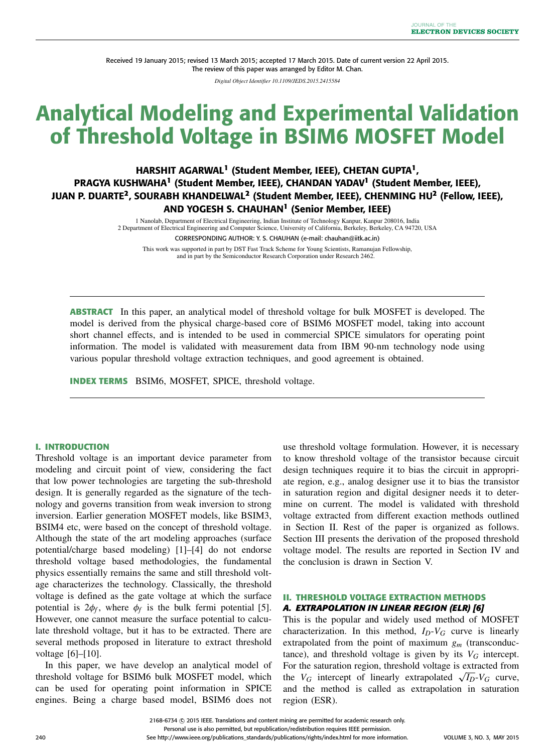Received 19 January 2015; revised 13 March 2015; accepted 17 March 2015. Date of current version 22 April 2015. The review of this paper was arranged by Editor M. Chan.

*Digital Object Identifier 10.1109/JEDS.2015.2415584*

# Analytical Modeling and Experimental Validation of Threshold Voltage in BSIM6 MOSFET Model

# HARSHIT AGARWAL**<sup>1</sup>** (Student Member, IEEE), CHETAN GUPTA**<sup>1</sup>** , PRAGYA KUSHWAHA**<sup>1</sup>** (Student Member, IEEE), CHANDAN YADAV**<sup>1</sup>** (Student Member, IEEE), JUAN P. DUARTE**<sup>2</sup>** , SOURABH KHANDELWAL**<sup>2</sup>** (Student Member, IEEE), CHENMING HU**<sup>2</sup>** (Fellow, IEEE), AND YOGESH S. CHAUHAN**<sup>1</sup>** (Senior Member, IEEE)

1 Nanolab, Department of Electrical Engineering, Indian Institute of Technology Kanpur, Kanpur 208016, India 2 Department of Electrical Engineering and Computer Science, University of California, Berkeley, Berkeley, CA 94720, USA CORRESPONDING AUTHOR: Y. S. CHAUHAN (e-mail: chauhan@iitk.ac.in)

This work was supported in part by DST Fast Track Scheme for Young Scientists, Ramanujan Fellowship, and in part by the Semiconductor Research Corporation under Research 2462.

**ABSTRACT** In this paper, an analytical model of threshold voltage for bulk MOSFET is developed. The model is derived from the physical charge-based core of BSIM6 MOSFET model, taking into account short channel effects, and is intended to be used in commercial SPICE simulators for operating point information. The model is validated with measurement data from IBM 90-nm technology node using various popular threshold voltage extraction techniques, and good agreement is obtained.

**INDEX TERMS** BSIM6, MOSFET, SPICE, threshold voltage.

# **I. INTRODUCTION**

Threshold voltage is an important device parameter from modeling and circuit point of view, considering the fact that low power technologies are targeting the sub-threshold design. It is generally regarded as the signature of the technology and governs transition from weak inversion to strong inversion. Earlier generation MOSFET models, like BSIM3, BSIM4 etc, were based on the concept of threshold voltage. Although the state of the art modeling approaches (surface potential/charge based modeling) [1]–[4] do not endorse threshold voltage based methodologies, the fundamental physics essentially remains the same and still threshold voltage characterizes the technology. Classically, the threshold voltage is defined as the gate voltage at which the surface potential is  $2\phi_f$ , where  $\phi_f$  is the bulk fermi potential [5]. However, one cannot measure the surface potential to calculate threshold voltage, but it has to be extracted. There are several methods proposed in literature to extract threshold voltage [6]–[10].

In this paper, we have develop an analytical model of threshold voltage for BSIM6 bulk MOSFET model, which can be used for operating point information in SPICE engines. Being a charge based model, BSIM6 does not

use threshold voltage formulation. However, it is necessary to know threshold voltage of the transistor because circuit design techniques require it to bias the circuit in appropriate region, e.g., analog designer use it to bias the transistor in saturation region and digital designer needs it to determine on current. The model is validated with threshold voltage extracted from different exaction methods outlined in Section II. Rest of the paper is organized as follows. Section III presents the derivation of the proposed threshold voltage model. The results are reported in Section IV and the conclusion is drawn in Section V.

# **II. THRESHOLD VOLTAGE EXTRACTION METHODS** *A. EXTRAPOLATION IN LINEAR REGION (ELR) [6]*

This is the popular and widely used method of MOSFET characterization. In this method,  $I_D-V_G$  curve is linearly extrapolated from the point of maximum *g<sup>m</sup>* (transconductance), and threshold voltage is given by its  $V_G$  intercept. For the saturation region, threshold voltage is extracted from the  $V_G$  intercept of linearly extrapolated  $\sqrt{I_D}$ - $V_G$  curve, and the method is called as extrapolation in saturation region (ESR).

2168-6734 C 2015 IEEE. Translations and content mining are permitted for academic research only. Personal use is also permitted, but republication/redistribution requires IEEE permission.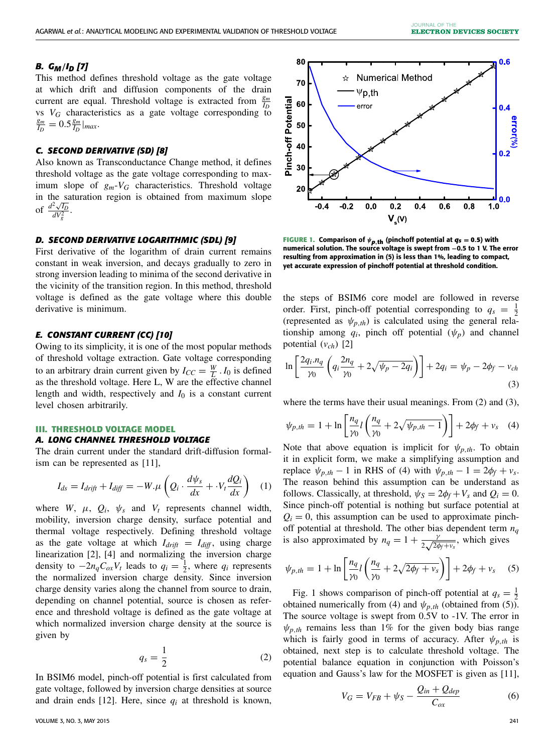# *B. GM*/*ID [7]*

This method defines threshold voltage as the gate voltage at which drift and diffusion components of the drain current are equal. Threshold voltage is extracted from  $\frac{g_m}{I_D}$ vs  $V_G$  characteristics as a gate voltage corresponding to *gm*  $\frac{g_m}{I_D} = 0.5 \frac{g_m}{I_D}$  $\frac{g_m}{I_D}$  | *max*.

# *C. SECOND DERIVATIVE (SD) [8]*

Also known as Transconductance Change method, it defines threshold voltage as the gate voltage corresponding to maximum slope of  $g_m$ - $V_G$  characteristics. Threshold voltage in the saturation region is obtained from maximum slope of  $\frac{d^2\sqrt{I_D}}{dV_g^2}$ .

# *D. SECOND DERIVATIVE LOGARITHMIC (SDL) [9]*

First derivative of the logarithm of drain current remains constant in weak inversion, and decays gradually to zero in strong inversion leading to minima of the second derivative in the vicinity of the transition region. In this method, threshold voltage is defined as the gate voltage where this double derivative is minimum.

#### *E. CONSTANT CURRENT (CC) [10]*

Owing to its simplicity, it is one of the most popular methods of threshold voltage extraction. Gate voltage corresponding to an arbitrary drain current given by  $I_{CC} = \frac{W}{L} I_0$  is defined as the threshold voltage. Here L, W are the effective channel length and width, respectively and  $I_0$  is a constant current level chosen arbitrarily.

#### **III. THRESHOLD VOLTAGE MODEL** *A. LONG CHANNEL THRESHOLD VOLTAGE*

The drain current under the standard drift-diffusion formalism can be represented as [11],

$$
I_{ds} = I_{drift} + I_{diff} = -W.\mu \left( Q_i \cdot \frac{d\psi_s}{dx} + \cdot V_t \frac{dQ_i}{dx} \right) \quad (1)
$$

where *W*,  $\mu$ ,  $Q_i$ ,  $\psi_s$  and  $V_t$  represents channel width, mobility, inversion charge density, surface potential and thermal voltage respectively. Defining threshold voltage as the gate voltage at which  $I_{drift} = I_{diff}$ , using charge linearization [2], [4] and normalizing the inversion charge density to  $-2n_qC_{ox}V_t$  leads to  $q_i = \frac{1}{2}$ , where  $q_i$  represents the normalized inversion charge density. Since inversion charge density varies along the channel from source to drain, depending on channel potential, source is chosen as reference and threshold voltage is defined as the gate voltage at which normalized inversion charge density at the source is given by

$$
q_s = \frac{1}{2} \tag{2}
$$

In BSIM6 model, pinch-off potential is first calculated from gate voltage, followed by inversion charge densities at source and drain ends [12]. Here, since  $q_i$  at threshold is known,



**FIGURE 1.** Comparison of  $\psi_{p,th}$  (pinchoff potential at  $q_s = 0.5$ ) with numerical solution. The source voltage is swept from −0.5 to 1 V. The error resulting from approximation in (5) is less than 1**%**, leading to compact, yet accurate expression of pinchoff potential at threshold condition.

the steps of BSIM6 core model are followed in reverse order. First, pinch-off potential corresponding to  $q_s = \frac{1}{2}$ (represented as  $\psi_{p,th}$ ) is calculated using the general relationship among  $q_i$ , pinch off potential  $(\psi_p)$  and channel potential (*vch*) [2]

$$
\ln\left[\frac{2q_i\cdot n_q}{\gamma_0}\left(q_i\frac{2n_q}{\gamma_0}+2\sqrt{\psi_p-2q_i}\right)\right]+2q_i=\psi_p-2\phi_f-v_{ch}
$$
\n(3)

where the terms have their usual meanings. From (2) and (3),

$$
\psi_{p,th} = 1 + \ln \left[ \frac{n_q}{\gamma_0} l \left( \frac{n_q}{\gamma_0} + 2\sqrt{\psi_{p,th} - 1} \right) \right] + 2\phi_f + v_s \quad (4)
$$

Note that above equation is implicit for  $\psi_{p,th}$ . To obtain it in explicit form, we make a simplifying assumption and replace  $\psi_{p,th} - 1$  in RHS of (4) with  $\psi_{p,th} - 1 = 2\phi_f + v_s$ . The reason behind this assumption can be understand as follows. Classically, at threshold,  $\psi_s = 2\phi_f + V_s$  and  $Q_i = 0$ . Since pinch-off potential is nothing but surface potential at  $Q_i = 0$ , this assumption can be used to approximate pinchoff potential at threshold. The other bias dependent term  $n_q$ is also approximated by  $n_q = 1 + \frac{\gamma}{2\sqrt{2q}}$  $rac{\gamma}{2\sqrt{2\phi_f + v_s}}$ , which gives

$$
\psi_{p,th} = 1 + \ln \left[ \frac{n_q}{\gamma_0} l \left( \frac{n_q}{\gamma_0} + 2\sqrt{2\phi_f + v_s} \right) \right] + 2\phi_f + v_s \quad (5)
$$

Fig. 1 shows comparison of pinch-off potential at  $q_s = \frac{1}{2}$ obtained numerically from (4) and  $\psi_{p,th}$  (obtained from (5)). The source voltage is swept from 0.5V to -1V. The error in  $\psi_{p,th}$  remains less than 1% for the given body bias range which is fairly good in terms of accuracy. After  $\psi_{p,th}$  is obtained, next step is to calculate threshold voltage. The potential balance equation in conjunction with Poisson's equation and Gauss's law for the MOSFET is given as [11],

$$
V_G = V_{FB} + \psi_S - \frac{Q_{in} + Q_{dep}}{C_{ox}} \tag{6}
$$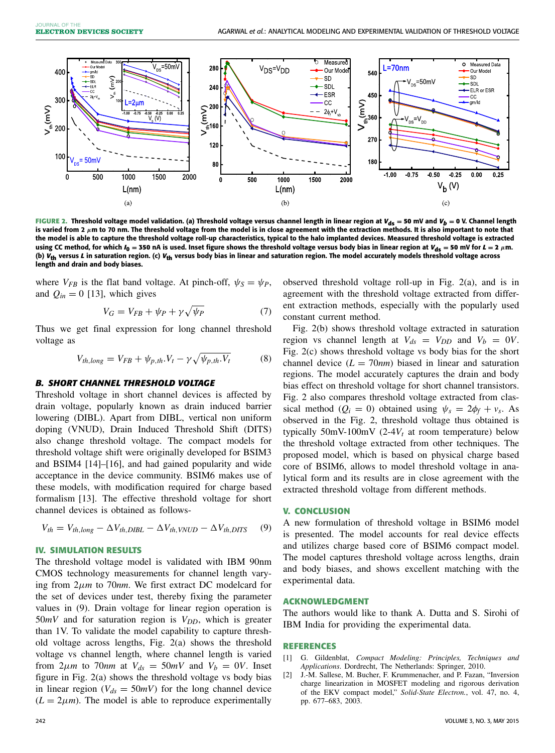

FIGURE 2. Threshold voltage model validation. (a) Threshold voltage versus channel length in linear region at  $V_{ds} = 50$  mV and  $V_b = 0$  V. Channel length is varied from 2  $\mu$ m to 70 nm. The threshold voltage from the model is in close agreement with the extraction methods. It is also important to note that the model is able to capture the threshold voltage roll-up characteristics, typical to the halo implanted devices. Measured threshold voltage is extracted using CC method, for which  $I_0$  = 350 nA is used. Inset figure shows the threshold voltage versus body bias in linear region at  $V_{ds}$  = 50 mV for  $L = 2 \mu m$ . (b) *V***th** versus *L* in saturation region. (c) *V***th** versus body bias in linear and saturation region. The model accurately models threshold voltage across length and drain and body biases.

where  $V_{FB}$  is the flat band voltage. At pinch-off,  $\psi_S = \psi_P$ , and  $Q_{in} = 0$  [13], which gives

$$
V_G = V_{FB} + \psi_P + \gamma \sqrt{\psi_P} \tag{7}
$$

Thus we get final expression for long channel threshold voltage as

$$
V_{th,long} = V_{FB} + \psi_{p,th}.V_t - \gamma \sqrt{\psi_{p,th}.V_t}
$$
 (8)

#### *B. SHORT CHANNEL THRESHOLD VOLTAGE*

Threshold voltage in short channel devices is affected by drain voltage, popularly known as drain induced barrier lowering (DIBL). Apart from DIBL, vertical non uniform doping (VNUD), Drain Induced Threshold Shift (DITS) also change threshold voltage. The compact models for threshold voltage shift were originally developed for BSIM3 and BSIM4 [14]–[16], and had gained popularity and wide acceptance in the device community. BSIM6 makes use of these models, with modification required for charge based formalism [13]. The effective threshold voltage for short channel devices is obtained as follows-

$$
V_{th} = V_{th,long} - \Delta V_{th,DIBL} - \Delta V_{th,VNUD} - \Delta V_{th,DITS}
$$
 (9)

#### **IV. SIMULATION RESULTS**

The threshold voltage model is validated with IBM 90nm CMOS technology measurements for channel length varying from 2µ*m* to 70*nm*. We first extract DC modelcard for the set of devices under test, thereby fixing the parameter values in (9). Drain voltage for linear region operation is 50*mV* and for saturation region is *VDD*, which is greater than 1V. To validate the model capability to capture threshold voltage across lengths, Fig. 2(a) shows the threshold voltage vs channel length, where channel length is varied from  $2\mu m$  to  $70nm$  at  $V_{ds} = 50mV$  and  $V_b = 0V$ . Inset figure in Fig. 2(a) shows the threshold voltage vs body bias in linear region ( $V_{ds} = 50mV$ ) for the long channel device  $(L = 2\mu m)$ . The model is able to reproduce experimentally observed threshold voltage roll-up in Fig. 2(a), and is in agreement with the threshold voltage extracted from different extraction methods, especially with the popularly used constant current method.

Fig. 2(b) shows threshold voltage extracted in saturation region vs channel length at  $V_{ds} = V_{DD}$  and  $V_b = 0V$ . Fig. 2(c) shows threshold voltage vs body bias for the short channel device  $(L = 70nm)$  biased in linear and saturation regions. The model accurately captures the drain and body bias effect on threshold voltage for short channel transistors. Fig. 2 also compares threshold voltage extracted from classical method ( $Q_i = 0$ ) obtained using  $\psi_s = 2\phi_f + v_s$ . As observed in the Fig. 2, threshold voltage thus obtained is typically 50mV-100mV (2-4 $V_t$  at room temperature) below the threshold voltage extracted from other techniques. The proposed model, which is based on physical charge based core of BSIM6, allows to model threshold voltage in analytical form and its results are in close agreement with the extracted threshold voltage from different methods.

# **V. CONCLUSION**

A new formulation of threshold voltage in BSIM6 model is presented. The model accounts for real device effects and utilizes charge based core of BSIM6 compact model. The model captures threshold voltage across lengths, drain and body biases, and shows excellent matching with the experimental data.

# **ACKNOWLEDGMENT**

The authors would like to thank A. Dutta and S. Sirohi of IBM India for providing the experimental data.

#### **REFERENCES**

- [1] G. Gildenblat, *Compact Modeling: Principles, Techniques and Applications*. Dordrecht, The Netherlands: Springer, 2010.
- [2] J.-M. Sallese, M. Bucher, F. Krummenacher, and P. Fazan, "Inversion charge linearization in MOSFET modeling and rigorous derivation of the EKV compact model," *Solid-State Electron.*, vol. 47, no. 4, pp. 677–683, 2003.